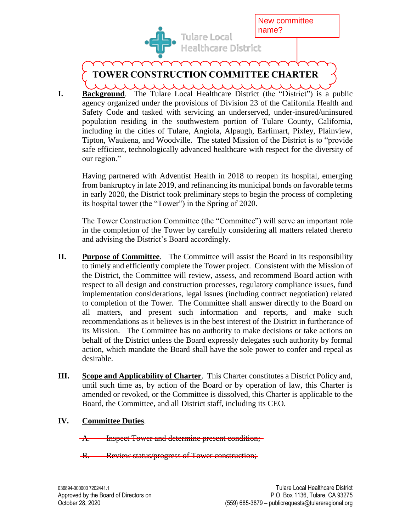

New committee name?

## **TOWER CONSTRUCTION COMMITTEE CHARTER**

**I. Background**. The Tulare Local Healthcare District (the "District") is a public agency organized under the provisions of Division 23 of the California Health and Safety Code and tasked with servicing an underserved, under-insured/uninsured population residing in the southwestern portion of Tulare County, California, including in the cities of Tulare, Angiola, Alpaugh, Earlimart, Pixley, Plainview, Tipton, Waukena, and Woodville. The stated Mission of the District is to "provide safe efficient, technologically advanced healthcare with respect for the diversity of our region."

Having partnered with Adventist Health in 2018 to reopen its hospital, emerging from bankruptcy in late 2019, and refinancing its municipal bonds on favorable terms in early 2020, the District took preliminary steps to begin the process of completing its hospital tower (the "Tower") in the Spring of 2020.

The Tower Construction Committee (the "Committee") will serve an important role in the completion of the Tower by carefully considering all matters related thereto and advising the District's Board accordingly.

- **II. Purpose of Committee**. The Committee will assist the Board in its responsibility to timely and efficiently complete the Tower project. Consistent with the Mission of the District, the Committee will review, assess, and recommend Board action with respect to all design and construction processes, regulatory compliance issues, fund implementation considerations, legal issues (including contract negotiation) related to completion of the Tower. The Committee shall answer directly to the Board on all matters, and present such information and reports, and make such recommendations as it believes is in the best interest of the District in furtherance of its Mission. The Committee has no authority to make decisions or take actions on behalf of the District unless the Board expressly delegates such authority by formal action, which mandate the Board shall have the sole power to confer and repeal as desirable.
- **III. Scope and Applicability of Charter**. This Charter constitutes a District Policy and, until such time as, by action of the Board or by operation of law, this Charter is amended or revoked, or the Committee is dissolved, this Charter is applicable to the Board, the Committee, and all District staff, including its CEO.

## **IV. Committee Duties**.

A. Inspect Tower and determine present condition;

B. Review status/progress of Tower construction;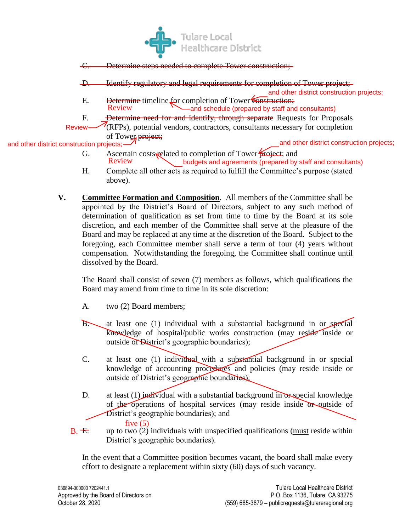

C. Determine steps needed to complete Tower construction;

D. Identify regulatory and legal requirements for completion of Tower project;

and other district construction projects;

- E. Determine timeline for completion of Tower Construction;<br>Review and schedule (prepared by staff and -and schedule (prepared by staff and consultants)
- F. **Determine need for and identify, through separate** Requests for Proposals
- (RFPs), potential vendors, contractors, consultants necessary for completion of Tower project; and other district construction projects; Review

and other district construction projects;

- G. Ascertain costs related to completion of Tower project; and Review budgets and agreements (prepared by staff and consultants)
- H. Complete all other acts as required to fulfill the Committee's purpose (stated above).
- **V. Committee Formation and Composition**. All members of the Committee shall be appointed by the District's Board of Directors, subject to any such method of determination of qualification as set from time to time by the Board at its sole discretion, and each member of the Committee shall serve at the pleasure of the Board and may be replaced at any time at the discretion of the Board. Subject to the foregoing, each Committee member shall serve a term of four (4) years without compensation. Notwithstanding the foregoing, the Committee shall continue until dissolved by the Board.

The Board shall consist of seven (7) members as follows, which qualifications the Board may amend from time to time in its sole discretion:

- A. two (2) Board members;
- B. at least one (1) individual with a substantial background in or special knowledge of hospital/public works construction (may reside inside or outside of District's geographic boundaries);
- C. at least one (1) individual with a substantial background in or special knowledge of accounting procedures and policies (may reside inside or outside of District's geographic boundaries);
- D. at least  $(1)$  individual with a substantial background in or special knowledge of the operations of hospital services (may reside inside or outside of District's geographic boundaries); and

E. up to two  $(5)$  individuals with unspecified qualifications (must reside within B. F. District's geographic boundaries).

In the event that a Committee position becomes vacant, the board shall make every effort to designate a replacement within sixty (60) days of such vacancy.